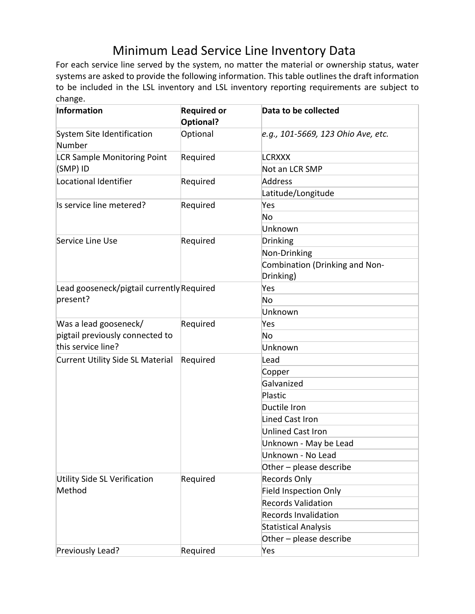## Minimum Lead Service Line Inventory Data<br>For each service line served by the system, no matter the material or ownership status, water

systems are asked to provide the following information. This table outlines the draft information to be included in the LSL inventory and LSL inventory reporting requirements are subject to change.

| Information                                           | <b>Required or</b><br>Optional? | Data to be collected               |
|-------------------------------------------------------|---------------------------------|------------------------------------|
| System Site Identification<br>Number                  | Optional                        | e.g., 101-5669, 123 Ohio Ave, etc. |
| <b>LCR Sample Monitoring Point</b><br>(SMP) ID        | Required                        | <b>LCRXXX</b>                      |
|                                                       |                                 | Not an LCR SMP                     |
| Locational Identifier                                 | Required                        | Address                            |
|                                                       |                                 | Latitude/Longitude                 |
| Is service line metered?                              | Required                        | Yes                                |
|                                                       |                                 | No                                 |
|                                                       |                                 | Unknown                            |
| Service Line Use                                      | Required                        | <b>Drinking</b>                    |
|                                                       |                                 | Non-Drinking                       |
|                                                       |                                 | Combination (Drinking and Non-     |
|                                                       |                                 | Drinking)                          |
| Lead gooseneck/pigtail currently Required             |                                 | Yes                                |
| present?                                              |                                 | No                                 |
|                                                       |                                 | Unknown                            |
| Was a lead gooseneck/                                 | Required                        | Yes                                |
| pigtail previously connected to<br>this service line? |                                 | No                                 |
|                                                       |                                 | Unknown                            |
| Current Utility Side SL Material                      | Required                        | Lead                               |
|                                                       |                                 | Copper                             |
|                                                       |                                 | Galvanized                         |
|                                                       |                                 | Plastic                            |
|                                                       |                                 | Ductile Iron                       |
|                                                       |                                 | <b>Lined Cast Iron</b>             |
|                                                       |                                 | <b>Unlined Cast Iron</b>           |
|                                                       |                                 | Unknown - May be Lead              |
|                                                       |                                 | Unknown - No Lead                  |
|                                                       |                                 | Other - please describe            |
| Utility Side SL Verification<br>Method                | Required                        | <b>Records Only</b>                |
|                                                       |                                 | <b>Field Inspection Only</b>       |
|                                                       |                                 | <b>Records Validation</b>          |
|                                                       |                                 | <b>Records Invalidation</b>        |
|                                                       |                                 | <b>Statistical Analysis</b>        |
|                                                       |                                 | Other - please describe            |
| Previously Lead?                                      | Required                        | Yes                                |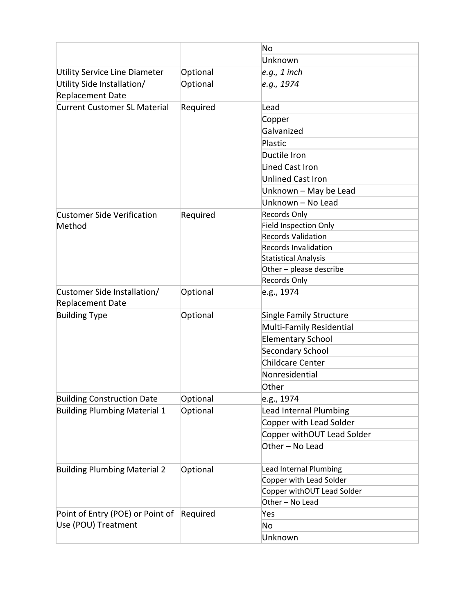|                                                         |          | No                           |
|---------------------------------------------------------|----------|------------------------------|
|                                                         |          | Unknown                      |
| Utility Service Line Diameter                           | Optional | $e.g., 1$ inch               |
| Utility Side Installation/                              | Optional | e.g., 1974                   |
| <b>Replacement Date</b>                                 |          |                              |
| <b>Current Customer SL Material</b>                     | Required | Lead                         |
|                                                         |          | Copper                       |
|                                                         |          | Galvanized                   |
|                                                         |          | Plastic                      |
|                                                         |          | Ductile Iron                 |
|                                                         |          | <b>Lined Cast Iron</b>       |
|                                                         |          | <b>Unlined Cast Iron</b>     |
|                                                         |          | Unknown - May be Lead        |
|                                                         |          | Unknown - No Lead            |
| <b>Customer Side Verification</b>                       | Required | <b>Records Only</b>          |
| Method                                                  |          | <b>Field Inspection Only</b> |
|                                                         |          | <b>Records Validation</b>    |
|                                                         |          | <b>Records Invalidation</b>  |
|                                                         |          | <b>Statistical Analysis</b>  |
|                                                         |          | Other - please describe      |
|                                                         |          | <b>Records Only</b>          |
| Customer Side Installation/                             | Optional | e.g., 1974                   |
| <b>Replacement Date</b>                                 |          |                              |
| <b>Building Type</b>                                    | Optional | Single Family Structure      |
|                                                         |          | Multi-Family Residential     |
|                                                         |          | <b>Elementary School</b>     |
|                                                         |          | <b>Secondary School</b>      |
|                                                         |          | <b>Childcare Center</b>      |
|                                                         |          | Nonresidential               |
|                                                         |          | Other                        |
| <b>Building Construction Date</b>                       | Optional | e.g., 1974                   |
| <b>Building Plumbing Material 1</b>                     | Optional | Lead Internal Plumbing       |
|                                                         |          | Copper with Lead Solder      |
|                                                         |          | Copper withOUT Lead Solder   |
|                                                         |          | Other - No Lead              |
| <b>Building Plumbing Material 2</b>                     | Optional | Lead Internal Plumbing       |
|                                                         |          | Copper with Lead Solder      |
|                                                         |          | Copper withOUT Lead Solder   |
|                                                         |          | Other - No Lead              |
| Point of Entry (POE) or Point of<br>Use (POU) Treatment | Required | Yes                          |
|                                                         |          | No                           |
|                                                         |          | Unknown                      |